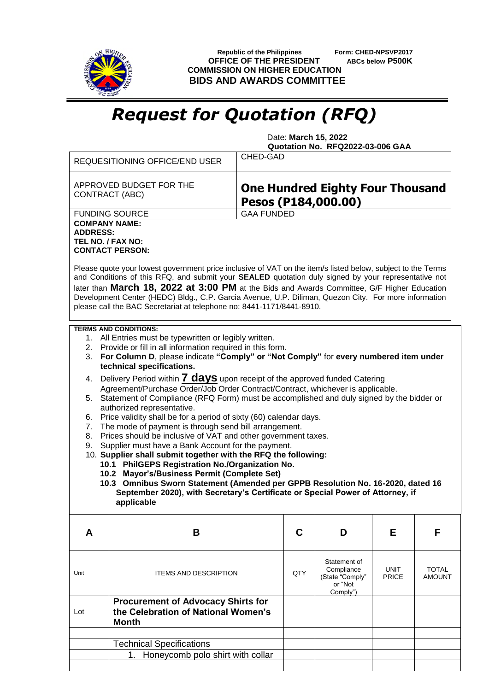

 **Republic of the Philippines Form: CHED-NPSVP2017 OFFICE OF THE PRESIDENT ABCs below P500K COMMISSION ON HIGHER EDUCATION BIDS AND AWARDS COMMITTEE**

## *Request for Quotation (RFQ)*

 Date: **March 15, 2022 Quotation No. RFQ2022-03-006 GAA**

|                                                                                                                                                                                                                                                                                                                                                                                                                                                                                                                                                                                              | <b>REQUESITIONING OFFICE/END USER</b>                                                            | CHED-GAD                                                       |     |                                                                      |                      |                               |  |  |  |
|----------------------------------------------------------------------------------------------------------------------------------------------------------------------------------------------------------------------------------------------------------------------------------------------------------------------------------------------------------------------------------------------------------------------------------------------------------------------------------------------------------------------------------------------------------------------------------------------|--------------------------------------------------------------------------------------------------|----------------------------------------------------------------|-----|----------------------------------------------------------------------|----------------------|-------------------------------|--|--|--|
|                                                                                                                                                                                                                                                                                                                                                                                                                                                                                                                                                                                              | APPROVED BUDGET FOR THE<br>CONTRACT (ABC)                                                        | <b>One Hundred Eighty Four Thousand</b><br>Pesos (P184,000.00) |     |                                                                      |                      |                               |  |  |  |
|                                                                                                                                                                                                                                                                                                                                                                                                                                                                                                                                                                                              | <b>FUNDING SOURCE</b>                                                                            | <b>GAA FUNDED</b>                                              |     |                                                                      |                      |                               |  |  |  |
| <b>COMPANY NAME:</b><br><b>ADDRESS:</b><br>TEL NO. / FAX NO:<br><b>CONTACT PERSON:</b><br>Please quote your lowest government price inclusive of VAT on the item/s listed below, subject to the Terms<br>and Conditions of this RFQ, and submit your SEALED quotation duly signed by your representative not<br>later than March 18, 2022 at 3:00 PM at the Bids and Awards Committee, G/F Higher Education<br>Development Center (HEDC) Bldg., C.P. Garcia Avenue, U.P. Diliman, Quezon City. For more information<br>please call the BAC Secretariat at telephone no: 8441-1171/8441-8910. |                                                                                                  |                                                                |     |                                                                      |                      |                               |  |  |  |
| <b>TERMS AND CONDITIONS:</b><br>1. All Entries must be typewritten or legibly written.<br>2. Provide or fill in all information required in this form.<br>For Column D, please indicate "Comply" or "Not Comply" for every numbered item under<br>3.<br>technical specifications.                                                                                                                                                                                                                                                                                                            |                                                                                                  |                                                                |     |                                                                      |                      |                               |  |  |  |
| Delivery Period within <b>7 days</b> upon receipt of the approved funded Catering<br>4.<br>Agreement/Purchase Order/Job Order Contract/Contract, whichever is applicable.<br>5. Statement of Compliance (RFQ Form) must be accomplished and duly signed by the bidder or                                                                                                                                                                                                                                                                                                                     |                                                                                                  |                                                                |     |                                                                      |                      |                               |  |  |  |
| authorized representative.<br>Price validity shall be for a period of sixty (60) calendar days.<br>6.<br>The mode of payment is through send bill arrangement.<br>7.                                                                                                                                                                                                                                                                                                                                                                                                                         |                                                                                                  |                                                                |     |                                                                      |                      |                               |  |  |  |
| Prices should be inclusive of VAT and other government taxes.<br>8.<br>Supplier must have a Bank Account for the payment.<br>9.<br>10. Supplier shall submit together with the RFQ the following:                                                                                                                                                                                                                                                                                                                                                                                            |                                                                                                  |                                                                |     |                                                                      |                      |                               |  |  |  |
|                                                                                                                                                                                                                                                                                                                                                                                                                                                                                                                                                                                              | 10.1 PhilGEPS Registration No./Organization No.<br>10.2 Mayor's/Business Permit (Complete Set)   |                                                                |     |                                                                      |                      |                               |  |  |  |
| 10.3 Omnibus Sworn Statement (Amended per GPPB Resolution No. 16-2020, dated 16<br>September 2020), with Secretary's Certificate or Special Power of Attorney, if<br>applicable                                                                                                                                                                                                                                                                                                                                                                                                              |                                                                                                  |                                                                |     |                                                                      |                      |                               |  |  |  |
| A                                                                                                                                                                                                                                                                                                                                                                                                                                                                                                                                                                                            | В                                                                                                |                                                                | C   | D                                                                    | Е                    | F                             |  |  |  |
| Unit                                                                                                                                                                                                                                                                                                                                                                                                                                                                                                                                                                                         | <b>ITEMS AND DESCRIPTION</b>                                                                     |                                                                | QTY | Statement of<br>Compliance<br>(State "Comply"<br>or "Not<br>Comply") | UNIT<br><b>PRICE</b> | <b>TOTAL</b><br><b>AMOUNT</b> |  |  |  |
| Lot                                                                                                                                                                                                                                                                                                                                                                                                                                                                                                                                                                                          | <b>Procurement of Advocacy Shirts for</b><br>the Celebration of National Women's<br><b>Month</b> |                                                                |     |                                                                      |                      |                               |  |  |  |
|                                                                                                                                                                                                                                                                                                                                                                                                                                                                                                                                                                                              | <b>Technical Specifications</b>                                                                  |                                                                |     |                                                                      |                      |                               |  |  |  |
|                                                                                                                                                                                                                                                                                                                                                                                                                                                                                                                                                                                              | Honeycomb polo shirt with collar<br>1.                                                           |                                                                |     |                                                                      |                      |                               |  |  |  |
|                                                                                                                                                                                                                                                                                                                                                                                                                                                                                                                                                                                              |                                                                                                  |                                                                |     |                                                                      |                      |                               |  |  |  |
|                                                                                                                                                                                                                                                                                                                                                                                                                                                                                                                                                                                              |                                                                                                  |                                                                |     |                                                                      |                      |                               |  |  |  |